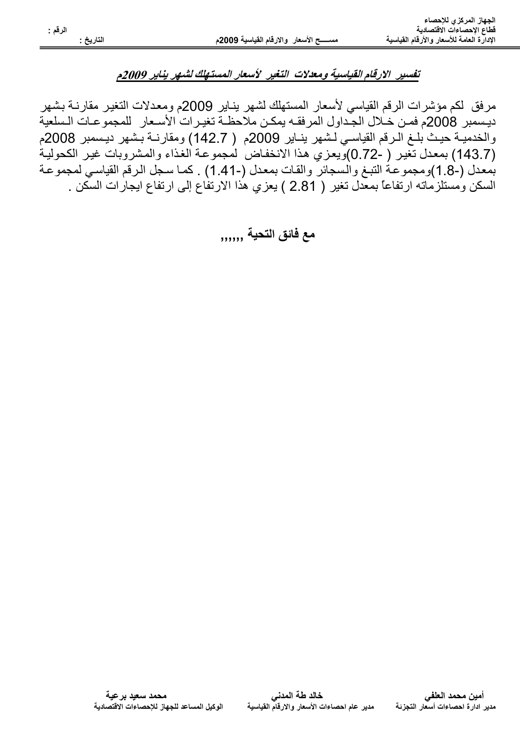## تفسير الارقام القياسية ومعدلات التغير الأسعار المستهلك لشهر يناير 2009م

مر فق لكم مؤشِّر ات الر قم القياسي لأسعار المستهلك لشهر بنـاير 2009م و معدلات التغير مقار نــة بشهر ديسمبر 2008م فمـن خـلال الجـداول المرفقـه يمكـن ملاحظـة تغيـرات الأسـعار للمجموعـات الـسلعية والخدميــة حيـث بلــغ الــرقم القياســي لـشهر ينــاير 2009م ( 142.7) ومقارنــة بـشهر ديـسمبر 2008م (143.7) بمعدل تغير ( -0.72)ويعزي هذا الانخفاض لمجموعة الغذاء والمشروبات غير الكحولية بمعدل (-8. 1)ومجموعة النبغ والسجائر والقات بمعدل (-1.41) . كما سجل الرقم القياسي لمجموعة السكن ومستلزماته ارتفاعاً بمعدل تغير ( 2.81 ) يعزي هذا الارتفاع إلى ارتفاع ايجارات السكن .

مع فائق التحية ,,,,,,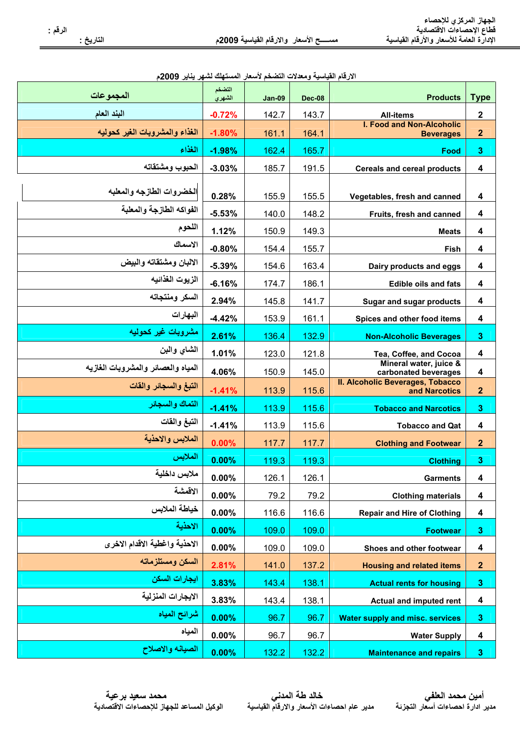مس

| الارقام القياسية ومعدلات التضخم لأسعار المستهلك لشهر يناير 2009م |  |  |
|------------------------------------------------------------------|--|--|
|------------------------------------------------------------------|--|--|

| المجموعات                          | التضخم<br>الشهري | Jan-09 | <b>Dec-08</b> | <b>Products</b>                                      | <b>Type</b>             |
|------------------------------------|------------------|--------|---------------|------------------------------------------------------|-------------------------|
| البند العام                        | $-0.72%$         | 142.7  | 143.7         | <b>All-items</b>                                     | $\overline{2}$          |
| الغذاء والمشروبات الغير كحوليه     | $-1.80%$         | 161.1  | 164.1         | <b>I. Food and Non-Alcoholic</b><br><b>Beverages</b> | $\overline{2}$          |
| الغذاء                             | $-1.98%$         | 162.4  | 165.7         | Food                                                 | $\mathbf{3}$            |
| الحبوب ومشتقاته                    | $-3.03%$         | 185.7  | 191.5         | <b>Cereals and cereal products</b>                   | 4                       |
|                                    |                  |        |               |                                                      |                         |
| الخضروات الطازجه والمعلبه          | 0.28%            | 155.9  | 155.5         | Vegetables, fresh and canned                         | 4                       |
| الفواكه الطازجة والمعلبة           | $-5.53%$         | 140.0  | 148.2         | Fruits, fresh and canned                             | $\overline{\mathbf{4}}$ |
| اللحوم                             | 1.12%            | 150.9  | 149.3         | <b>Meats</b>                                         | 4                       |
| الاسماك                            | $-0.80%$         | 154.4  | 155.7         | Fish                                                 | $\overline{\mathbf{4}}$ |
| الالبان ومشتقاته والبيض            | $-5.39%$         | 154.6  | 163.4         | Dairy products and eggs                              | $\overline{\mathbf{4}}$ |
| الزيوت الغذائيه                    | $-6.16%$         | 174.7  | 186.1         | <b>Edible oils and fats</b>                          | 4                       |
| السكر ومنتجاته                     | 2.94%            | 145.8  | 141.7         | <b>Sugar and sugar products</b>                      | $\overline{\mathbf{4}}$ |
| البهارات                           | $-4.42%$         | 153.9  | 161.1         | Spices and other food items                          | $\overline{\mathbf{4}}$ |
| مشروبات غير كحوليه                 | 2.61%            | 136.4  | 132.9         | <b>Non-Alcoholic Beverages</b>                       | $\overline{\mathbf{3}}$ |
| الشاى والبن                        | 1.01%            | 123.0  | 121.8         | Tea, Coffee, and Cocoa                               | $\overline{\mathbf{4}}$ |
| المياه والعصائر والمشروبات الغازيه | 4.06%            | 150.9  | 145.0         | Mineral water, juice &<br>carbonated beverages       | 4                       |
| التبغ والسجائر والقات              | $-1.41%$         | 113.9  | 115.6         | II. Alcoholic Beverages, Tobacco<br>and Narcotics    | $\overline{2}$          |
| التماك والسجائر                    | $-1.41%$         | 113.9  | 115.6         | <b>Tobacco and Narcotics</b>                         | $\overline{\mathbf{3}}$ |
| التبغ والقات                       | $-1.41%$         | 113.9  | 115.6         | <b>Tobacco and Qat</b>                               | 4                       |
| الملابس والاحذية                   | 0.00%            | 117.7  | 117.7         | <b>Clothing and Footwear</b>                         | $\overline{2}$          |
| الملابس                            | 0.00%            | 119.3  | 119.3         | <b>Clothing</b>                                      | $\overline{\mathbf{3}}$ |
| ملابس داخلية                       | 0.00%            | 126.1  | 126.1         | <b>Garments</b>                                      | 4                       |
| الاقمشة                            | 0.00%            | 79.2   | 79.2          | <b>Clothing materials</b>                            | 4                       |
| خياطة الملابس                      | $0.00\%$         | 116.6  | 116.6         | <b>Repair and Hire of Clothing</b>                   | 4                       |
| الاحذية                            | 0.00%            | 109.0  | 109.0         | <b>Footwear</b>                                      | $\boldsymbol{3}$        |
| الاحذية واغطية الاقدام الاخرى      | 0.00%            | 109.0  | 109.0         | Shoes and other footwear                             | 4                       |
| السكن ومستلزماته                   | 2.81%            | 141.0  | 137.2         | <b>Housing and related items</b>                     | $\boldsymbol{2}$        |
| ايجارات السكن                      | 3.83%            | 143.4  | 138.1         | <b>Actual rents for housing</b>                      | $\boldsymbol{3}$        |
| الايجارات المنزلية                 | 3.83%            | 143.4  | 138.1         | Actual and imputed rent                              | $\overline{\mathbf{4}}$ |
| شرائح المياه                       | 0.00%            | 96.7   | 96.7          | <b>Water supply and misc. services</b>               | $\boldsymbol{3}$        |
| المياه                             | 0.00%            | 96.7   | 96.7          | <b>Water Supply</b>                                  | 4                       |
| الصيانه والاصلاح                   | 0.00%            | 132.2  | 132.2         | <b>Maintenance and repairs</b>                       | 3                       |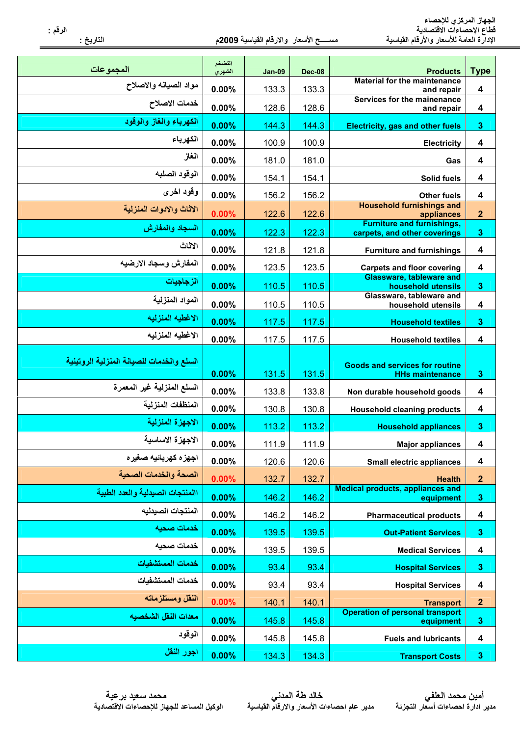| المجموعات                                 | التضخم<br>الشهري | <b>Jan-09</b> | <b>Dec-08</b> | <b>Products</b>                                                   | <b>Type</b>      |
|-------------------------------------------|------------------|---------------|---------------|-------------------------------------------------------------------|------------------|
| مواد الصيانه والاصلاح                     | 0.00%            | 133.3         | 133.3         | <b>Material for the maintenance</b><br>and repair                 | 4                |
| خدمات الاصلاح                             | 0.00%            | 128.6         | 128.6         | Services for the mainenance<br>and repair                         | 4                |
| الكهرياء والغاز والوقود                   | 0.00%            | 144.3         | 144.3         | <b>Electricity, gas and other fuels</b>                           | 3                |
| الكهرباء                                  | 0.00%            | 100.9         | 100.9         | <b>Electricity</b>                                                | 4                |
| الغاز                                     | 0.00%            | 181.0         | 181.0         | Gas                                                               | 4                |
| الوقود الصلبه                             | 0.00%            | 154.1         | 154.1         | Solid fuels                                                       | 4                |
| وقود اخرى                                 | 0.00%            | 156.2         | 156.2         | <b>Other fuels</b>                                                | 4                |
| الاثاث والادوات المنزلية                  | 0.00%            | 122.6         | 122.6         | <b>Household furnishings and</b><br>appliances                    | $\mathbf{2}$     |
| السجاد والمفارش                           | 0.00%            | 122.3         | 122.3         | <b>Furniture and furnishings,</b><br>carpets, and other coverings | $\boldsymbol{3}$ |
| الاثاث                                    | 0.00%            | 121.8         | 121.8         | <b>Furniture and furnishings</b>                                  | 4                |
| المفارش وسجاد الارضيه                     | 0.00%            | 123.5         | 123.5         | <b>Carpets and floor covering</b>                                 | 4                |
| الزجاجيات                                 | 0.00%            | 110.5         | 110.5         | <b>Glassware, tableware and</b><br>household utensils             | $\boldsymbol{3}$ |
| المواد المنزلية                           | 0.00%            | 110.5         | 110.5         | Glassware, tableware and<br>household utensils                    | 4                |
| الاغطيه المنزليه                          | 0.00%            | 117.5         | 117.5         | <b>Household textiles</b>                                         | $\mathbf 3$      |
| الاغطيه المنزليه                          | 0.00%            | 117.5         | 117.5         | <b>Household textiles</b>                                         | 4                |
| السلع والخدمات للصيانة المنزلية الروتينية | 0.00%            | 131.5         | 131.5         | <b>Goods and services for routine</b><br><b>HHs maintenance</b>   | 3                |
| السلع المنزلية غير المعمرة                | 0.00%            | 133.8         | 133.8         | Non durable household goods                                       | 4                |
| المنظفات المنزلية                         | 0.00%            | 130.8         | 130.8         | <b>Household cleaning products</b>                                | 4                |
| الاجهزة المنزلية                          | 0.00%            | 113.2         | 113.2         | <b>Household appliances</b>                                       | $\mathbf 3$      |
| الاجهزة الاساسية                          | 0.00%            | 111.9         | 111.9         | <b>Major appliances</b>                                           | 4                |
| اجهزه كهربائيه صغيره                      | 0.00%            | 120.6         | 120.6         | <b>Small electric appliances</b>                                  | $\boldsymbol{4}$ |
| الصحة والخدمات الصحية                     | 0.00%            | 132.7         | 132.7         | <b>Health</b>                                                     | $\mathbf{2}$     |
| االمنتجات الصيدلية والعدد الطبية          | 0.00%            | 146.2         | 146.2         | <b>Medical products, appliances and</b><br>equipment              | 3                |
| المنتجات الصيدليه                         | 0.00%            | 146.2         | 146.2         | <b>Pharmaceutical products</b>                                    | $\boldsymbol{4}$ |
| خدمات صحيه                                | 0.00%            | 139.5         | 139.5         | <b>Out-Patient Services</b>                                       | $\mathbf 3$      |
| خدمات صحيه                                | 0.00%            | 139.5         | 139.5         | <b>Medical Services</b>                                           | 4                |
| خدمات المستشفيات                          | 0.00%            | 93.4          | 93.4          | <b>Hospital Services</b>                                          | $\mathbf{3}$     |
| خدمات المستشفيات                          | 0.00%            | 93.4          | 93.4          | <b>Hospital Services</b>                                          | $\boldsymbol{4}$ |
| النقل ومستلزماته                          | 0.00%            | 140.1         | 140.1         | <b>Transport</b>                                                  | $\mathbf{2}$     |
| معدات النقل الشخصيه                       | 0.00%            | 145.8         | 145.8         | <b>Operation of personal transport</b><br>equipment               | 3                |
| الوقود                                    | 0.00%            | 145.8         | 145.8         | <b>Fuels and lubricants</b>                                       | 4                |
| اجور النقل                                | 0.00%            | 134.3         | 134.3         | <b>Transport Costs</b>                                            | $\mathbf{3}$     |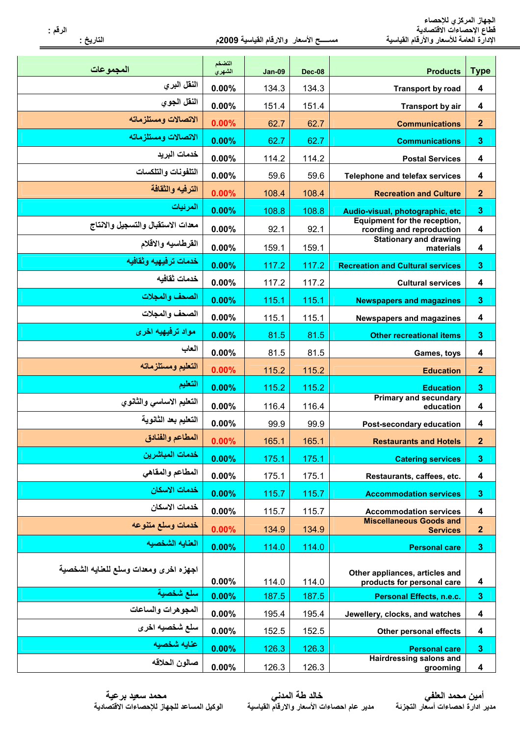| المجموعات                              | التضخم<br>الشهري | <b>Jan-09</b> | <b>Dec-08</b> | <b>Products</b>                                              | <b>Type</b>             |
|----------------------------------------|------------------|---------------|---------------|--------------------------------------------------------------|-------------------------|
| النقل البري                            | 0.00%            | 134.3         | 134.3         | <b>Transport by road</b>                                     | 4                       |
| النقل الجوى                            | 0.00%            | 151.4         | 151.4         | <b>Transport by air</b>                                      | 4                       |
| الاتصالات ومستلزماته                   | 0.00%            | 62.7          | 62.7          | <b>Communications</b>                                        | $\mathbf{2}$            |
| الاتصالات ومستلزماته                   | 0.00%            | 62.7          | 62.7          | <b>Communications</b>                                        | $\mathbf{3}$            |
| خدمات البريد                           | 0.00%            | 114.2         | 114.2         | <b>Postal Services</b>                                       | $\boldsymbol{4}$        |
| التلفونات والتلكسات                    | 0.00%            | 59.6          | 59.6          | <b>Telephone and telefax services</b>                        | 4                       |
| الترفيه والثقافة                       | 0.00%            | 108.4         | 108.4         | <b>Recreation and Culture</b>                                | $\overline{2}$          |
| المرئيات                               | 0.00%            | 108.8         | 108.8         | Audio-visual, photographic, etc                              | $\mathbf{3}$            |
| معدات الاستقبال والتسجيل والانتاج      | 0.00%            | 92.1          | 92.1          | Equipment for the reception,<br>rcording and reproduction    | 4                       |
| القرطاسيه والاقلام                     | 0.00%            | 159.1         | 159.1         | <b>Stationary and drawing</b><br>materials                   | 4                       |
| خدمات تر فيهيه و ثقافيه                | 0.00%            | 117.2         | 117.2         | <b>Recreation and Cultural services</b>                      | $\mathbf{3}$            |
| خدمات ثقافيه                           | 0.00%            | 117.2         | 117.2         | <b>Cultural services</b>                                     | 4                       |
| الصحف والمجلات                         | 0.00%            | 115.1         | 115.1         | <b>Newspapers and magazines</b>                              | $\mathbf{3}$            |
| الصحف والمجلات                         | 0.00%            | 115.1         | 115.1         | <b>Newspapers and magazines</b>                              | 4                       |
| مواد ترفيهيه اخرى                      | 0.00%            | 81.5          | 81.5          | <b>Other recreational items</b>                              | $\mathbf{3}$            |
| العاب                                  | 0.00%            | 81.5          | 81.5          | Games, toys                                                  | 4                       |
| التعليم ومستلزماته                     | 0.00%            | 115.2         | 115.2         | <b>Education</b>                                             | $\mathbf{2}$            |
| التعليم                                | 0.00%            | 115.2         | 115.2         | <b>Education</b>                                             | $\mathbf{3}$            |
| التعليم الاساسى والثانوي               | 0.00%            | 116.4         | 116.4         | <b>Primary and secundary</b><br>education                    | 4                       |
| التعليم بعد الثانوية                   | 0.00%            | 99.9          | 99.9          | Post-secondary education                                     | 4                       |
| المطاعم والفنادق                       | 0.00%            | 165.1         | 165.1         | <b>Restaurants and Hotels</b>                                | $\overline{2}$          |
| خدمات المباشرين                        | 0.00%            | 175.1         | 175.1         | <b>Catering services</b>                                     | $\mathbf{3}$            |
| المطاعم والمقاهي                       | 0.00%            | 175.1         | 175.1         | Restaurants, caffees, etc.                                   | 4                       |
| خدمات الاسكان                          | 0.00%            | 115.7         | 115.7         | <b>Accommodation services</b>                                | $\mathbf 3$             |
| خدمات الاسكان                          | 0.00%            | 115.7         | 115.7         | <b>Accommodation services</b>                                | 4                       |
| خدمات وسلع متنوعه                      | 0.00%            | 134.9         | 134.9         | <b>Miscellaneous Goods and</b><br><b>Services</b>            | $\boldsymbol{2}$        |
| العنايه الشخصيه                        | 0.00%            | 114.0         | 114.0         | <b>Personal care</b>                                         | $\mathbf{3}$            |
| اجهزه اخرى ومعدات وسلع للعنايه الشخصية | 0.00%            | 114.0         | 114.0         | Other appliances, articles and<br>products for personal care | 4                       |
| سلع شخصية                              | 0.00%            | 187.5         | 187.5         | <b>Personal Effects, n.e.c.</b>                              | $\mathbf{3}$            |
| المجوهرات والساعات                     | 0.00%            | 195.4         | 195.4         | Jewellery, clocks, and watches                               | $\boldsymbol{4}$        |
| سلع شخصيه اخرى                         | 0.00%            | 152.5         | 152.5         | Other personal effects                                       | 4                       |
| عنايه شخصيه                            | 0.00%            | 126.3         | 126.3         | <b>Personal care</b>                                         | $\boldsymbol{3}$        |
| صالون الحلاقه                          | 0.00%            | 126.3         | 126.3         | <b>Hairdressing salons and</b><br>grooming                   | $\overline{\mathbf{4}}$ |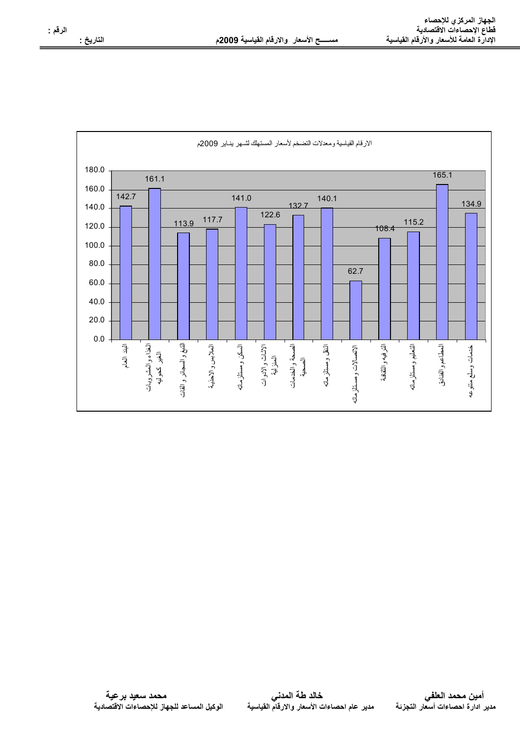مد